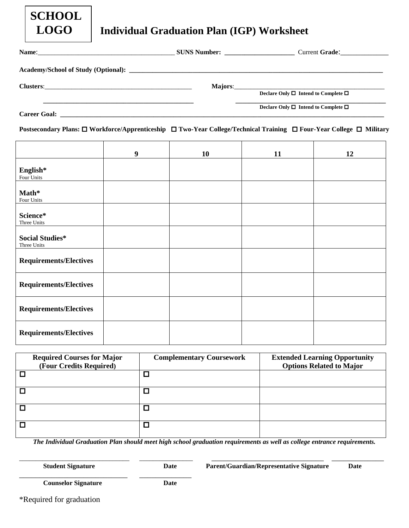|       | <b>SCHOOL</b><br><b>LOGO</b> | <b>Individual Graduation Plan (IGP) Worksheet</b> |               |
|-------|------------------------------|---------------------------------------------------|---------------|
| Name: |                              | <b>SUNS Number:</b>                               | $_{\rm Curr}$ |

 $Current$  **Grade**:

**Academy/School of Study (Optional): \_\_\_\_\_\_\_\_\_\_\_\_\_\_\_\_\_\_\_\_\_\_\_\_\_\_\_\_\_\_\_\_\_\_\_\_\_\_\_\_\_\_\_\_\_\_\_\_\_\_\_\_\_\_\_\_\_\_\_\_\_\_\_\_\_\_\_\_\_\_\_\_\_\_\_\_**

**Clusters**:\_\_\_\_\_\_\_\_\_\_\_\_\_\_\_\_\_\_\_\_\_\_\_\_\_\_\_\_\_\_\_\_\_\_\_\_\_\_\_\_\_\_\_\_ **Majors**:\_\_\_\_\_\_\_\_\_\_\_\_\_\_\_\_\_\_\_\_\_\_\_\_\_\_\_\_\_\_\_\_\_\_\_\_\_\_\_\_\_\_\_\_\_

**Declare Only**  $\Box$  **Intend to Complete**  $\Box$ 

**Declare Only Intend to Complete** 

**Career Goal: \_\_\_\_\_\_\_\_\_\_\_\_\_\_\_\_\_\_\_\_\_\_\_\_\_\_\_\_\_\_\_\_\_\_\_\_\_\_\_\_\_\_\_\_\_\_\_\_\_\_\_\_\_\_\_\_\_\_\_\_\_\_\_\_\_\_\_\_\_\_\_\_\_\_\_\_\_\_\_\_\_\_\_\_\_\_\_\_\_\_\_\_\_\_\_\_\_**

**Postsecondary Plans: Workforce/Apprenticeship Two-Year College/Technical Training Four-Year College Military**

|                                       | 9 | 10 | 11 | 12 |
|---------------------------------------|---|----|----|----|
| English*<br>Four Units                |   |    |    |    |
| Math*<br>Four Units                   |   |    |    |    |
| Science*<br>Three Units               |   |    |    |    |
| <b>Social Studies*</b><br>Three Units |   |    |    |    |
| <b>Requirements/Electives</b>         |   |    |    |    |
| <b>Requirements/Electives</b>         |   |    |    |    |
| <b>Requirements/Electives</b>         |   |    |    |    |
| <b>Requirements/Electives</b>         |   |    |    |    |

| <b>Required Courses for Major</b> | <b>Complementary Coursework</b> | <b>Extended Learning Opportunity</b> |
|-----------------------------------|---------------------------------|--------------------------------------|
| (Four Credits Required)           |                                 | <b>Options Related to Major</b>      |
|                                   | $\Box$                          |                                      |
|                                   | ◻                               |                                      |
|                                   | $\Box$                          |                                      |
|                                   | $\Box$                          |                                      |

*The Individual Graduation Plan should meet high school graduation requirements as well as college entrance requirements.*

\_\_\_\_\_\_\_\_\_\_\_\_\_\_\_\_\_\_\_\_\_\_\_\_\_\_\_\_\_\_\_\_\_ \_\_\_\_\_\_\_\_\_\_\_\_\_\_\_\_ \_\_\_\_\_\_\_\_\_\_\_\_\_\_\_\_\_\_\_\_\_\_\_\_\_\_\_\_ \_\_\_\_\_\_\_\_\_\_\_\_\_

**Student Signature Date Parent/Guardian/Representative Signature Date**

\_\_\_\_\_\_\_\_\_\_\_\_\_\_\_\_\_\_\_\_\_\_\_\_\_\_\_ \_\_\_\_\_\_\_\_\_\_\_\_\_ **Counselor Signature Date**

\*Required for graduation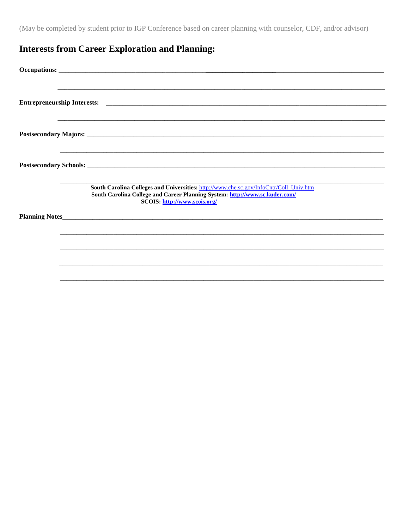(May be completed by student prior to IGP Conference based on career planning with counselor, CDF, and/or advisor)

## **Interests from Career Exploration and Planning:**

| South Carolina Colleges and Universities: http://www.che.sc.gov/InfoCntr/Coll_Univ.htm<br>South Carolina College and Career Planning System: http://www.sc.kuder.com/<br>SCOIS: http://www.scois.org/ |
|-------------------------------------------------------------------------------------------------------------------------------------------------------------------------------------------------------|
|                                                                                                                                                                                                       |
|                                                                                                                                                                                                       |
|                                                                                                                                                                                                       |
|                                                                                                                                                                                                       |
|                                                                                                                                                                                                       |